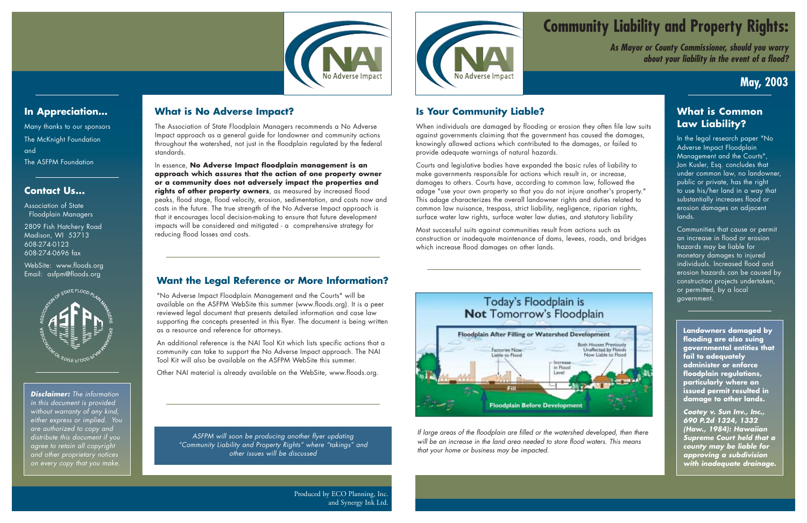# **May, 2003**

# **Community Liability and Property Rights:**

*As Mayor or County Commissioner, should you worry about your liability in the event of a flood?*

Produced by ECO Planning, Inc. and Synergy Ink Ltd.



## **Is Your Community Liable?**

When individuals are damaged by flooding or erosion they often file law suits against governments claiming that the government has caused the damages, knowingly allowed actions which contributed to the damages, or failed to provide adequate warnings of natural hazards.

Courts and legislative bodies have expanded the basic rules of liability to make governments responsible for actions which result in, or increase, damages to others. Courts have, according to common law, followed the adage "use your own property so that you do not injure another's property." This adage characterizes the overall landowner rights and duties related to common law nuisance, trespass, strict liability, negligence, riparian rights, surface water law rights, surface water law duties, and statutory liability

Most successful suits against communities result from actions such as construction or inadequate maintenance of dams, levees, roads, and bridges which increase flood damages on other lands.



#### **What is Common Law Liability?**

In the legal research paper "No Adverse Impact Floodplain Management and the Courts", Jon Kusler, Esq. concludes that under common law, no landowner, public or private, has the right to use his/her land in a way that substantially increases flood or erosion damages on adjacent lands.

Communities that cause or permit an increase in flood or erosion hazards may be liable for monetary damages to injured individuals. Increased flood and erosion hazards can be caused by construction projects undertaken, or permitted, by a local government.

**Landowners damaged by flooding are also suing governmental entities that fail to adequately administer or enforce floodplain regulations, particularly where an issued permit resulted in damage to other lands.** 

*Cootey v. Sun Inv., Inc., 690 P.2d 1324, 1332 (Haw., 1984): Hawaiian Supreme Court held that a county may be liable for approving a subdivision with inadequate drainage.*

*If large areas of the floodplain are filled or the watershed developed, then there will be an increase in the land area needed to store flood waters. This means that your home or business may be impacted.*



## **In Appreciation…**

Many thanks to our sponsors The McKnight Foundation and The ASFPM Foundation

#### **Contact Us...**

Association of State Floodplain Managers

2809 Fish Hatchery Road Madison, WI 53713 608-274-0123 608-274-0696 fax

WebSite: www.floods.org Email: asfpm@floods.org



*Disclaimer: The information in this document is provided without warranty of any kind, either express or implied. You are authorized to copy and distribute this document if you agree to retain all copyright and other proprietary notices on every copy that you make.*

#### **What is No Adverse Impact?**

The Association of State Floodplain Managers recommends a No Adverse Impact approach as a general guide for landowner and community actions throughout the watershed, not just in the floodplain regulated by the federal standards.

In essence, **No Adverse Impact floodplain management is an approach which assures that the action of one property owner or a community does not adversely impact the properties and rights of other property owners**, as measured by increased flood peaks, flood stage, flood velocity, erosion, sedimentation, and costs now and costs in the future. The true strength of the No Adverse Impact approach is that it encourages local decision-making to ensure that future development impacts will be considered and mitigated - a comprehensive strategy for reducing flood losses and costs.

#### **Want the Legal Reference or More Information?**

"No Adverse Impact Floodplain Management and the Courts" will be available on the ASFPM WebSite this summer (www.floods.org). It is a peer reviewed legal document that presents detailed information and case law supporting the concepts presented in this flyer. The document is being written as a resource and reference for attorneys.

An additional reference is the NAI Tool Kit which lists specific actions that a community can take to support the No Adverse Impact approach. The NAI Tool Kit will also be available on the ASFPM WebSite this summer.

Other NAI material is already available on the WebSite, www.floods.org.

*ASFPM will soon be producing another flyer updating "Community Liability and Property Rights" where "takings" and other issues will be discussed*